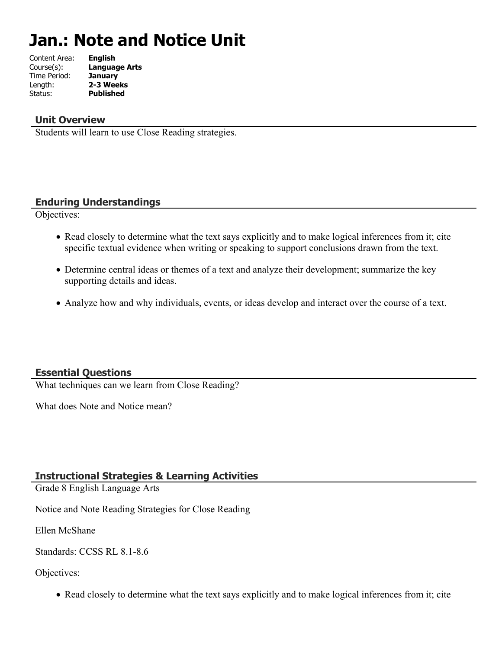# **Jan.: Note and Notice Unit**

| Content Area: | <b>English</b>       |
|---------------|----------------------|
| Course(s):    | <b>Language Arts</b> |
| Time Period:  | <b>January</b>       |
| Length:       | 2-3 Weeks            |
| Status:       | <b>Published</b>     |
|               |                      |

## **Unit Overview**

Students will learn to use Close Reading strategies.

## **Enduring Understandings**

Objectives:

- Read closely to determine what the text says explicitly and to make logical inferences from it; cite specific textual evidence when writing or speaking to support conclusions drawn from the text.
- Determine central ideas or themes of a text and analyze their development; summarize the key supporting details and ideas.
- Analyze how and why individuals, events, or ideas develop and interact over the course of a text.

### **Essential Questions**

What techniques can we learn from Close Reading?

What does Note and Notice mean?

### **Instructional Strategies & Learning Activities**

Grade 8 English Language Arts

Notice and Note Reading Strategies for Close Reading

Ellen McShane

Standards: CCSS RL 8.1-8.6

### Objectives:

• Read closely to determine what the text says explicitly and to make logical inferences from it; cite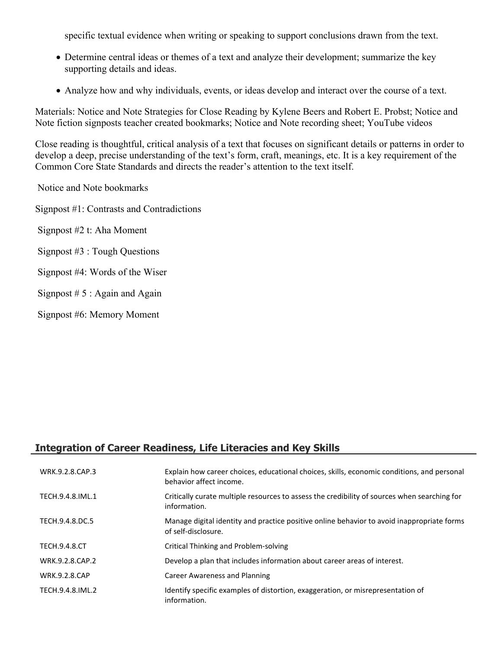specific textual evidence when writing or speaking to support conclusions drawn from the text.

- Determine central ideas or themes of a text and analyze their development; summarize the key supporting details and ideas.
- Analyze how and why individuals, events, or ideas develop and interact over the course of a text.

Materials: Notice and Note Strategies for Close Reading by Kylene Beers and Robert E. Probst; Notice and Note fiction signposts teacher created bookmarks; Notice and Note recording sheet; YouTube videos

Close reading is thoughtful, critical analysis of a text that focuses on significant details or patterns in order to develop a deep, precise understanding of the text's form, craft, meanings, etc. It is a key requirement of the Common Core State Standards and directs the reader's attention to the text itself.

Notice and Note bookmarks

Signpost #1: Contrasts and Contradictions

Signpost #2 t: Aha Moment

Signpost #3 : Tough Questions

Signpost #4: Words of the Wiser

Signpost  $# 5$ : Again and Again

Signpost #6: Memory Moment

# **Integration of Career Readiness, Life Literacies and Key Skills**

| WRK.9.2.8.CAP.3      | Explain how career choices, educational choices, skills, economic conditions, and personal<br>behavior affect income. |
|----------------------|-----------------------------------------------------------------------------------------------------------------------|
| TECH.9.4.8.IML.1     | Critically curate multiple resources to assess the credibility of sources when searching for<br>information.          |
| TECH.9.4.8.DC.5      | Manage digital identity and practice positive online behavior to avoid inappropriate forms<br>of self-disclosure.     |
| <b>TECH.9.4.8.CT</b> | Critical Thinking and Problem-solving                                                                                 |
| WRK.9.2.8.CAP.2      | Develop a plan that includes information about career areas of interest.                                              |
| <b>WRK.9.2.8.CAP</b> | Career Awareness and Planning                                                                                         |
| TECH.9.4.8.IML.2     | Identify specific examples of distortion, exaggeration, or misrepresentation of<br>information.                       |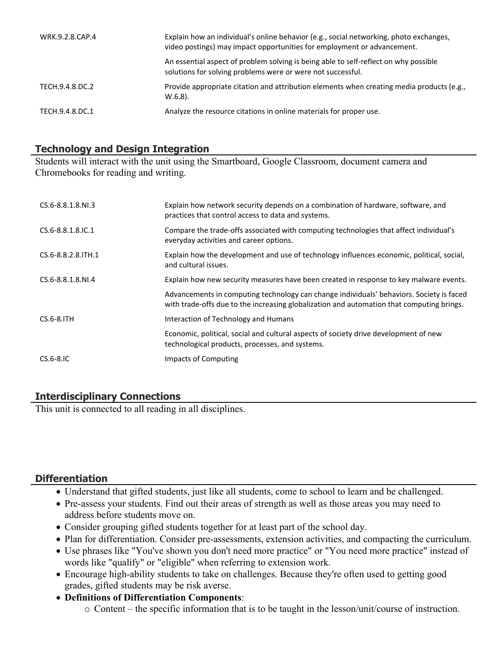| WRK.9.2.8.CAP.4 | Explain how an individual's online behavior (e.g., social networking, photo exchanges,<br>video postings) may impact opportunities for employment or advancement. |
|-----------------|-------------------------------------------------------------------------------------------------------------------------------------------------------------------|
|                 | An essential aspect of problem solving is being able to self-reflect on why possible<br>solutions for solving problems were or were not successful.               |
| TECH.9.4.8.DC.2 | Provide appropriate citation and attribution elements when creating media products (e.g.,<br>$W.6.8$ ).                                                           |
| TECH.9.4.8.DC.1 | Analyze the resource citations in online materials for proper use.                                                                                                |

## **Technology and Design Integration**

Students will interact with the unit using the Smartboard, Google Classroom, document camera and Chromebooks for reading and writing.

| CS.6-8.8.1.8.NI.3   | Explain how network security depends on a combination of hardware, software, and<br>practices that control access to data and systems.                                                |
|---------------------|---------------------------------------------------------------------------------------------------------------------------------------------------------------------------------------|
| CS.6-8.8.1.8.IC.1   | Compare the trade-offs associated with computing technologies that affect individual's<br>everyday activities and career options.                                                     |
| CS.6-8.8.2.8. ITH.1 | Explain how the development and use of technology influences economic, political, social,<br>and cultural issues.                                                                     |
| CS.6-8.8.1.8.NI.4   | Explain how new security measures have been created in response to key malware events.                                                                                                |
|                     | Advancements in computing technology can change individuals' behaviors. Society is faced<br>with trade-offs due to the increasing globalization and automation that computing brings. |
| $CS.6-8.1TH$        | Interaction of Technology and Humans                                                                                                                                                  |
|                     | Economic, political, social and cultural aspects of society drive development of new<br>technological products, processes, and systems.                                               |
| $CS.6-8.1C$         | Impacts of Computing                                                                                                                                                                  |

## **Interdisciplinary Connections**

This unit is connected to all reading in all disciplines.

## **Differentiation**

- Understand that gifted students, just like all students, come to school to learn and be challenged.
- Pre-assess your students. Find out their areas of strength as well as those areas you may need to address before students move on.
- Consider grouping gifted students together for at least part of the school day.
- Plan for differentiation. Consider pre-assessments, extension activities, and compacting the curriculum.
- Use phrases like "You've shown you don't need more practice" or "You need more practice" instead of words like "qualify" or "eligible" when referring to extension work.
- Encourage high-ability students to take on challenges. Because they're often used to getting good grades, gifted students may be risk averse.
- **Definitions of Differentiation Components**:
	- o Content the specific information that is to be taught in the lesson/unit/course of instruction.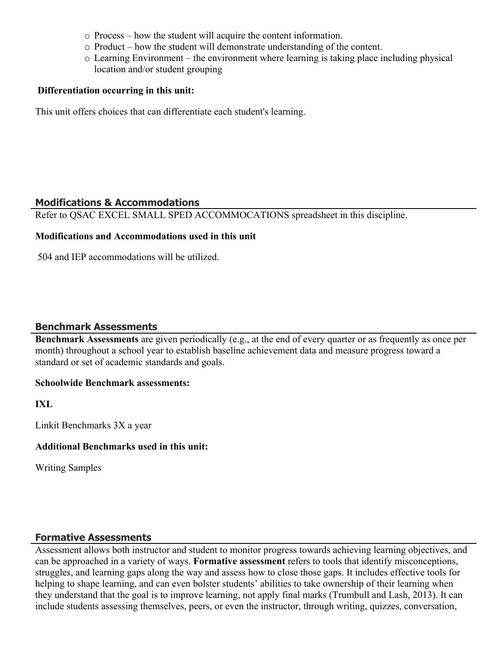- o Process how the student will acquire the content information.
- o Product how the student will demonstrate understanding of the content.
- o Learning Environment the environment where learning is taking place including physical location and/or student grouping

## **Differentiation occurring in this unit:**

This unit offers choices that can differentiate each student's learning.

## **Modifications & Accommodations**

Refer to QSAC EXCEL SMALL SPED ACCOMMOCATIONS spreadsheet in this discipline.

## **Modifications and Accommodations used in this unit**

504 and IEP accommodations will be utilized.

## **Benchmark Assessments**

**Benchmark Assessments** are given periodically (e.g., at the end of every quarter or as frequently as once per month) throughout a school year to establish baseline achievement data and measure progress toward a standard or set of academic standards and goals.

### **Schoolwide Benchmark assessments:**

**IXL**

Linkit Benchmarks 3X a year

### **Additional Benchmarks used in this unit:**

Writing Samples

# **Formative Assessments**

Assessment allows both instructor and student to monitor progress towards achieving learning objectives, and can be approached in a variety of ways. **Formative assessment** refers to tools that identify misconceptions, struggles, and learning gaps along the way and assess how to close those gaps. It includes effective tools for helping to shape learning, and can even bolster students' abilities to take ownership of their learning when they understand that the goal is to improve learning, not apply final marks (Trumbull and Lash, 2013). It can include students assessing themselves, peers, or even the instructor, through writing, quizzes, conversation,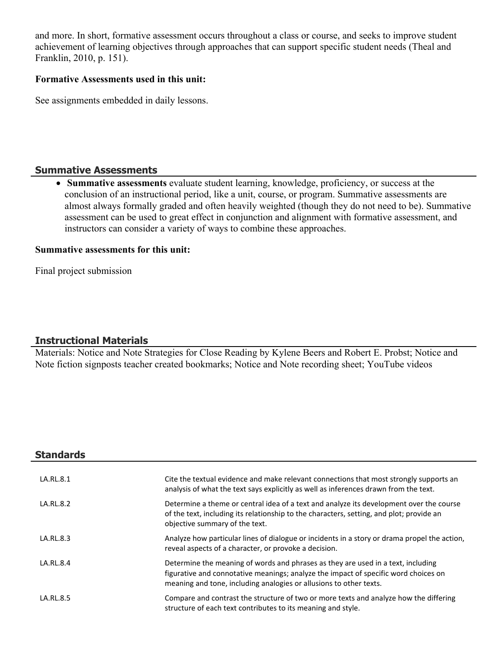and more. In short, formative assessment occurs throughout a class or course, and seeks to improve student achievement of learning objectives through approaches that can support specific student needs (Theal and Franklin, 2010, p. 151).

#### **Formative Assessments used in this unit:**

See assignments embedded in daily lessons.

## **Summative Assessments**

 **Summative assessments** evaluate student learning, knowledge, proficiency, or success at the conclusion of an instructional period, like a unit, course, or program. Summative assessments are almost always formally graded and often heavily weighted (though they do not need to be). Summative assessment can be used to great effect in conjunction and alignment with formative assessment, and instructors can consider a variety of ways to combine these approaches.

#### **Summative assessments for this unit:**

Final project submission

### **Instructional Materials**

Materials: Notice and Note Strategies for Close Reading by Kylene Beers and Robert E. Probst; Notice and Note fiction signposts teacher created bookmarks; Notice and Note recording sheet; YouTube videos

| <b>Standards</b> |                                                                                                                                                                                                                                               |
|------------------|-----------------------------------------------------------------------------------------------------------------------------------------------------------------------------------------------------------------------------------------------|
| LA.RL.8.1        | Cite the textual evidence and make relevant connections that most strongly supports an<br>analysis of what the text says explicitly as well as inferences drawn from the text.                                                                |
| LA.RL.8.2        | Determine a theme or central idea of a text and analyze its development over the course<br>of the text, including its relationship to the characters, setting, and plot; provide an<br>objective summary of the text.                         |
| LA.RL.8.3        | Analyze how particular lines of dialogue or incidents in a story or drama propel the action,<br>reveal aspects of a character, or provoke a decision.                                                                                         |
| LA.RL.8.4        | Determine the meaning of words and phrases as they are used in a text, including<br>figurative and connotative meanings; analyze the impact of specific word choices on<br>meaning and tone, including analogies or allusions to other texts. |
| LA.RL.8.5        | Compare and contrast the structure of two or more texts and analyze how the differing<br>structure of each text contributes to its meaning and style.                                                                                         |